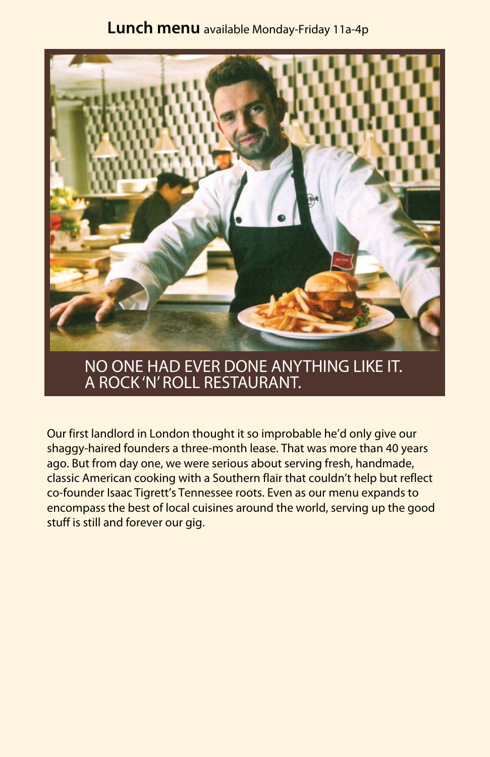## **Lunch menu** available Monday-Friday 11a-4p



## NO ONE HAD EVER DONE ANYTHING LIKE IT. A ROCK 'N' ROLL RESTAURANT.

Our first landlord in London thought it so improbable he'd only give our shaggy-haired founders a three-month lease. That was more than 40 years ago. But from day one, we were serious about serving fresh, handmade, classic American cooking with a Southern flair that couldn't help but reflect co-founder Isaac Tigrett's Tennessee roots. Even as our menu expands to encompass the best of local cuisines around the world, serving up the good stuff is still and forever our gig.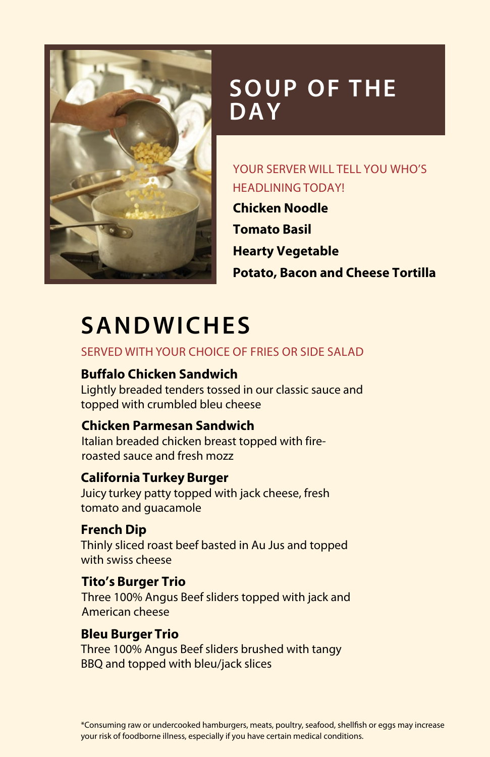

# **SOUP OF THE DAY**

### YOUR SERVER WILL TELL YOU WHO'S HEADLINING TODAY!

**Chicken Noodle Tomato Basil Hearty Vegetable Potato, Bacon and Cheese Tortilla**

# **SANDWICHES**

#### Served with your choice of fries or side salad

### **Buffalo Chicken Sandwich**

Lightly breaded tenders tossed in our classic sauce and topped with crumbled bleu cheese

#### **Chicken Parmesan Sandwich**

Italian breaded chicken breast topped with fireroasted sauce and fresh mozz

#### **California Turkey Burger**

Juicy turkey patty topped with jack cheese, fresh tomato and guacamole

**French Dip** Thinly sliced roast beef basted in Au Jus and topped with swiss cheese

#### **Tito's Burger Trio**

Three 100% Angus Beef sliders topped with jack and American cheese

#### **Bleu Burger Trio**

Three 100% Angus Beef sliders brushed with tangy BBQ and topped with bleu/jack slices